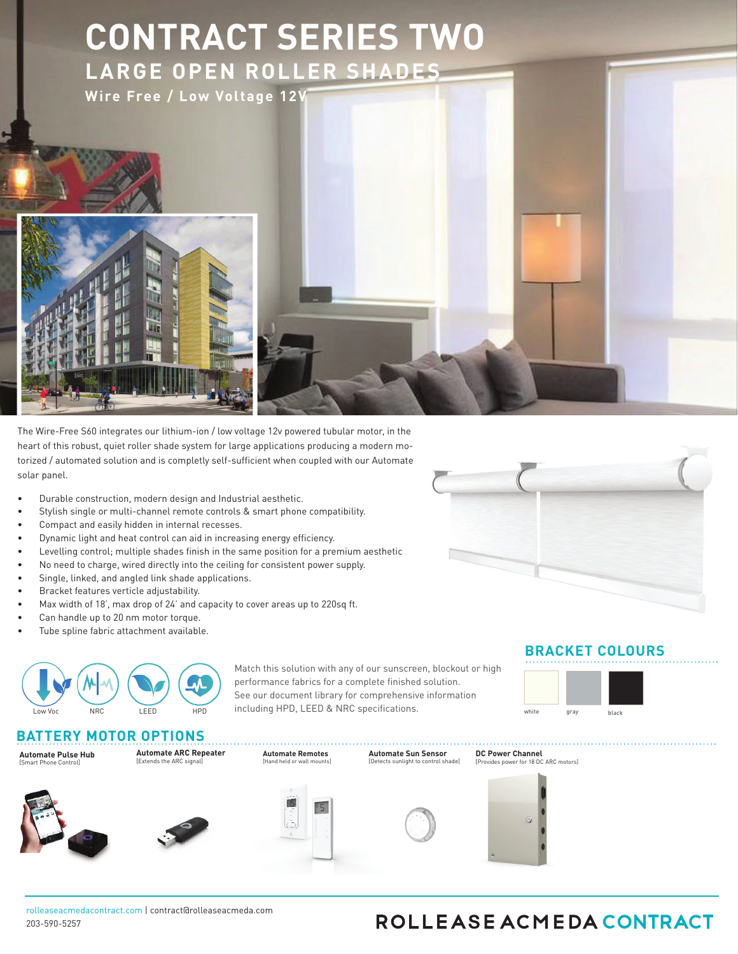

8JUIUIFBCJMJUZUPBDIJFWFVQUPXJEUITBOEhESPQTDPWFSJOHBNBYJNVNPGTRVBSFGFFUCFGPSFMJOLJOHUIF\$POUSBDU4FSJFT5XP-BSHF4Z DPOTJTUTPGSPCVTUIBSEXBSFBOEBOPQUJPOBMQSFNJVNBMVNJOVNIFBECPYQSPWJEJOHBTPMVUJPOGPSMBSHFTJ[FTIBEJOHTZTUFNTGPSBQ POEFTJHOBOETPMBSDPOUSPM4JHOJGJDBOUMZIFBWJFSBOEJNQSFTTJWFTIBEJOHTZTUFNTSFRVJSFQSFDJTJPOFOHJOFFSFEIFBWZEVUZIBSE NVMUJQMFTPGJUTPXOXFJHIU)FBWZEVUZTUFFMCSBDLFUTBOEMPDLJOHJEMFSBOENPUPSTJEFGFBUVSFTQSPWJEFNBYJNVNTFDVSJUZGPSME EVUZJOMJOFBOEBOHMFEMJOLJOHTZTUFNTBMMPXVQUPQBOFMTUPCFESJWFOGSPNPOFNPUPSESJWF5IFQFSGFDUTPMVUJPOGPSJOUFSOBMD 4TZTUFNDSFBUFTOFXPQQPSUVOJUJFTUPBDIJFWFMBSHFS
NPSFJNQBDUGVMTIBEFT

## 'FBUVSFT



**\$0/530-015\*0/4**

**Automate Pulse Hub**  [Smart Phone Control]

**Automate Solar Charger** [energy efficient]

**Automate ARC Repeater** [Extends the ARC signal]

NRC LEED HPD including HPD, LEED & NRC specifications.

**Automat Automate8BMM4XJUDIFT** [Hand held or wall mounts]



**DC Power Channel** [Provides power for 18 DC ARC motors]

## ROLLEASE ACMEDA CONTRACT

**A3\$3FMBZ.PEVMF** [4NBSU4ZTUFN\*OUFSGBDF]